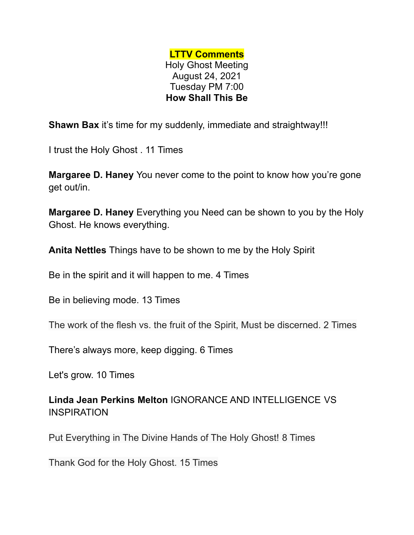## **LTTV Comments** Holy Ghost Meeting August 24, 2021 Tuesday PM 7:00 **How Shall This Be**

**Shawn Bax** it's time for my suddenly, immediate and straightway!!!

I trust the Holy Ghost . 11 Times

**Margaree D. Haney** You never come to the point to know how you're gone get out/in.

**Margaree D. Haney** Everything you Need can be shown to you by the Holy Ghost. He knows everything.

**Anita Nettles** Things have to be shown to me by the Holy Spirit

Be in the spirit and it will happen to me. 4 Times

Be in believing mode. 13 Times

The work of the flesh vs. the fruit of the Spirit, Must be discerned. 2 Times

There's always more, keep digging. 6 Times

Let's grow. 10 Times

**Linda Jean Perkins Melton** IGNORANCE AND INTELLIGENCE VS **INSPIRATION** 

Put Everything in The Divine Hands of The Holy Ghost! 8 Times

Thank God for the Holy Ghost. 15 Times